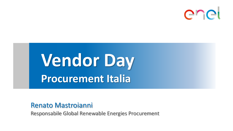

# **Vendor Day Procurement Italia**

### Renato Mastroianni

Responsabile Global Renewable Energies Procurement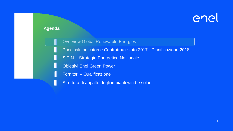

#### **Agenda**

Overview Global Renewable Energies

Principali Indicatori e Contrattualizzato 2017 - Pianificazione 2018

- S.E.N. Strategia Energetica Nazionale
- Obiettivi Enel Green Power
- Fornitori Qualificazione
- Struttura di appalto degli impianti wind e solari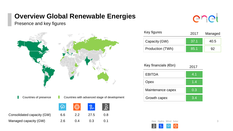### **Overview Global Renewable Energies**

### Presence and key figures





ener

| <b>Rey ligures</b> | 2017 | Managed |
|--------------------|------|---------|
| Capacity (GW)      | 37.1 | 40.5    |
| Production (TWh)   | 85.1 | 92      |

| Key financials $(\epsilon$ bn) | 2017 |
|--------------------------------|------|
| <b>EBITDA</b>                  | 4.1  |
| Opex                           | 1.4  |
| Maintenance capex              | 0.3  |
| Growth capex                   | 3.4  |



Hydro Wind Solar

Key figures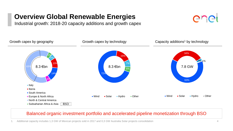### **Overview Global Renewable Energies**

Industrial growth: 2018-20 capacity additions and growth capex





#### Balanced organic investment portfolio and accelerated pipeline monetization through BSO

1. Additional capacity includes 1,3 GW of Mexican projects sold in 2017 and 0,3 GW Australia Solar projects consolidation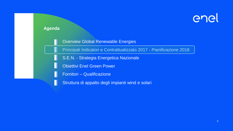

#### **Agenda**

Overview Global Renewable Energies

Principali Indicatori e Contrattualizzato 2017 - Pianificazione 2018

- S.E.N. Strategia Energetica Nazionale
- Obiettivi Enel Green Power
- Fornitori Qualificazione
- Struttura di appalto degli impianti wind e solari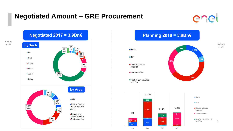### **Negotiated Amount – GRE Procurement**

## enel



Values in M€

### **Planning 2018 = 5.9Bn€**



**■** italy





Values in M€

6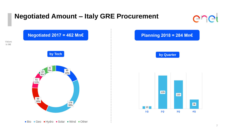### **Negotiated Amount – Italy GRE Procurement**





7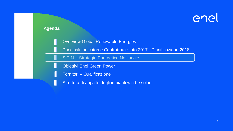### **Agenda**

Overview Global Renewable Energies

Principali Indicatori e Contrattualizzato 2017 - Pianificazione 2018

S.E.N. - Strategia Energetica Nazionale

Obiettivi Enel Green Power

Fornitori – Qualificazione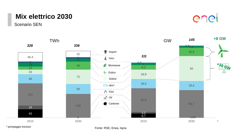### **Mix elettrico 2030**

Scenario SEN





\* pompaggio escluso

Fonte: RSE, Enea, Ispra.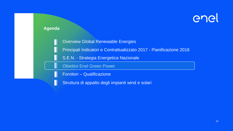#### **Agenda**

Overview Global Renewable Energies

Principali Indicatori e Contrattualizzato 2017 - Pianificazione 2018

S.E.N. - Strategia Energetica Nazionale

Obiettivi Enel Green Power

Fornitori – Qualificazione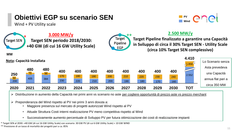### **Obiettivi EGP su scenario SEN**



Wind + PV Utility scale



- Attuale Struttura Costi interni realizzazione PV meno competitiva rispetto al Wind
- Successivamente aumento percentuale di Sviluppo PV per futura ottimizzazione dei costi di realizzazione impianti

\* Target SEN al 2030: +40 GW (di cui 16 GW Utility Scale) con scenario: 30 GW PV (di cui 6 GW Utility Scale) + 10 GW WIND

\*\* Previsione di un tasso di mortalità dei progetti pari a ca. 85%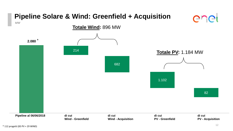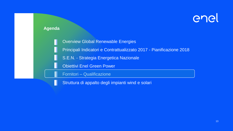#### **Agenda**

Overview Global Renewable Energies

Principali Indicatori e Contrattualizzato 2017 - Pianificazione 2018

S.E.N. - Strategia Energetica Nazionale

Obiettivi Enel Green Power

Fornitori – Qualificazione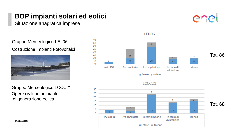### **BOP impianti solari ed eolici**

Situazione anagrafica imprese

Gruppo Merceologico LEII06

Costruzione Impianti Fotovoltaici



Opere civili per impianti di generazione eolica Gruppo Merceologico LCCC21

13/07/2018



**LEII06** 



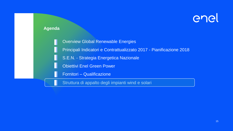#### **Agenda**

Overview Global Renewable Energies Principali Indicatori e Contrattualizzato 2017 - Pianificazione 2018 S.E.N. - Strategia Energetica Nazionale Obiettivi Enel Green Power Fornitori – Qualificazione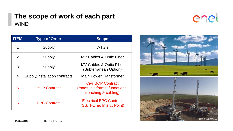### **The scope of work of each part WIND**



| <b>ITEM</b>    | <b>Type of Order</b>          | <b>Scope</b>                                                                        |
|----------------|-------------------------------|-------------------------------------------------------------------------------------|
|                | <b>Supply</b>                 | WTG's                                                                               |
| 2              | Supply                        | <b>MV Cables &amp; Optic Fiber</b>                                                  |
| 3              | Supply                        | <b>MV Cables &amp; Optic Fiber</b><br>(Subterranean Option)                         |
| $\overline{4}$ | Supply/installation contracts | <b>Main Power Transformer</b>                                                       |
| 5              | <b>BOP Contract</b>           | <b>Civil BOP Contract</b><br>(roads, platforms, fundations,<br>trenching & cabling) |
| 6              | <b>EPC Contract</b>           | <b>Electrical EPC Contract</b><br>(SS, T-Line, Interc. Point)                       |





13/07/2018 The Enel Group